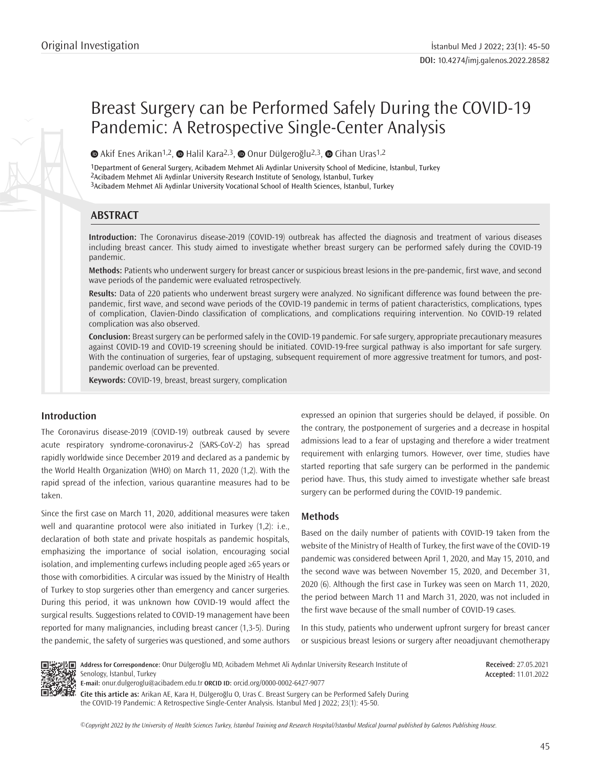# Breast Surgery can be Performed Safely During the COVID-19 Pandemic: A Retrospective Single-Center Analysis

 $\bullet$ Akif Enes Arikan<sup>1,2</sup>,  $\bullet$  Halil Kara<sup>2,3</sup>,  $\bullet$  Onur Dülgeroğlu<sup>2,3</sup>,  $\bullet$  Cihan Uras<sup>1,2</sup>

1Department of General Surgery, Acibadem Mehmet Ali Aydinlar University School of Medicine, İstanbul, Turkey 2Acibadem Mehmet Ali Aydinlar University Research Institute of Senology, İstanbul, Turkey 3Acibadem Mehmet Ali Aydinlar University Vocational School of Health Sciences, İstanbul, Turkey

## **ABSTRACT**

**Introduction:** The Coronavirus disease-2019 (COVID-19) outbreak has affected the diagnosis and treatment of various diseases including breast cancer. This study aimed to investigate whether breast surgery can be performed safely during the COVID-19 pandemic.

**Methods:** Patients who underwent surgery for breast cancer or suspicious breast lesions in the pre-pandemic, first wave, and second wave periods of the pandemic were evaluated retrospectively.

**Results:** Data of 220 patients who underwent breast surgery were analyzed. No significant difference was found between the prepandemic, first wave, and second wave periods of the COVID-19 pandemic in terms of patient characteristics, complications, types of complication, Clavien-Dindo classification of complications, and complications requiring intervention. No COVID-19 related complication was also observed.

**Conclusion:** Breast surgery can be performed safely in the COVID-19 pandemic. For safe surgery, appropriate precautionary measures against COVID-19 and COVID-19 screening should be initiated. COVID-19-free surgical pathway is also important for safe surgery. With the continuation of surgeries, fear of upstaging, subsequent requirement of more aggressive treatment for tumors, and postpandemic overload can be prevented.

**Keywords:** COVID-19, breast, breast surgery, complication

## **Introduction**

The Coronavirus disease-2019 (COVID-19) outbreak caused by severe acute respiratory syndrome-coronavirus-2 (SARS-CoV-2) has spread rapidly worldwide since December 2019 and declared as a pandemic by the World Health Organization (WHO) on March 11, 2020 (1,2). With the rapid spread of the infection, various quarantine measures had to be taken.

Since the first case on March 11, 2020, additional measures were taken well and quarantine protocol were also initiated in Turkey (1,2): i.e., declaration of both state and private hospitals as pandemic hospitals, emphasizing the importance of social isolation, encouraging social isolation, and implementing curfews including people aged ≥65 years or those with comorbidities. A circular was issued by the Ministry of Health of Turkey to stop surgeries other than emergency and cancer surgeries. During this period, it was unknown how COVID-19 would affect the surgical results. Suggestions related to COVID-19 management have been reported for many malignancies, including breast cancer (1,3-5). During the pandemic, the safety of surgeries was questioned, and some authors expressed an opinion that surgeries should be delayed, if possible. On the contrary, the postponement of surgeries and a decrease in hospital admissions lead to a fear of upstaging and therefore a wider treatment requirement with enlarging tumors. However, over time, studies have started reporting that safe surgery can be performed in the pandemic period have. Thus, this study aimed to investigate whether safe breast surgery can be performed during the COVID-19 pandemic.

## **Methods**

Based on the daily number of patients with COVID-19 taken from the website of the Ministry of Health of Turkey, the first wave of the COVID-19 pandemic was considered between April 1, 2020, and May 15, 2010, and the second wave was between November 15, 2020, and December 31, 2020 (6). Although the first case in Turkey was seen on March 11, 2020, the period between March 11 and March 31, 2020, was not included in the first wave because of the small number of COVID-19 cases.

In this study, patients who underwent upfront surgery for breast cancer or suspicious breast lesions or surgery after neoadjuvant chemotherapy



**Address for Correspondence:** Onur Dülgeroğlu MD, Acibadem Mehmet Ali Aydınlar University Research Institute of Senology, İstanbul, Turkey **E-mail:** onur.dulgeroglu@acibadem.edu.tr **ORCID ID:** orcid.org/0000-0002-6427-9077

**Cite this article as:** Arikan AE, Kara H, Dülgeroğlu O, Uras C. Breast Surgery can be Performed Safely During the COVID-19 Pandemic: A Retrospective Single-Center Analysis. İstanbul Med J 2022; 23(1): 45-50.

*©*Copyright 2022 by the University of Health Sciences Turkey, İstanbul Training and Research Hospital/İstanbul Medical Journal published by Galenos Publishing House.

**Received:** 27.05.2021 **Accepted:** 11.01.2022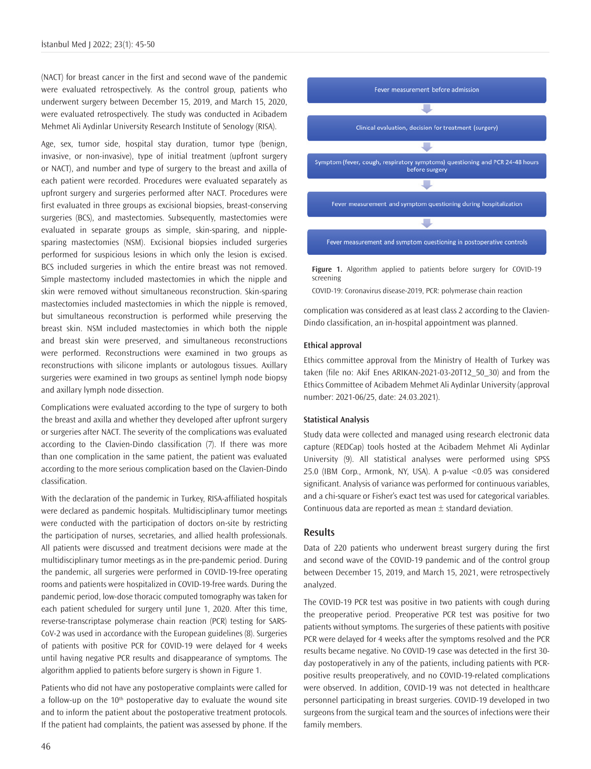(NACT) for breast cancer in the first and second wave of the pandemic were evaluated retrospectively. As the control group, patients who underwent surgery between December 15, 2019, and March 15, 2020, were evaluated retrospectively. The study was conducted in Acibadem Mehmet Ali Aydinlar University Research Institute of Senology (RISA).

Age, sex, tumor side, hospital stay duration, tumor type (benign, invasive, or non-invasive), type of initial treatment (upfront surgery or NACT), and number and type of surgery to the breast and axilla of each patient were recorded. Procedures were evaluated separately as upfront surgery and surgeries performed after NACT. Procedures were first evaluated in three groups as excisional biopsies, breast-conserving surgeries (BCS), and mastectomies. Subsequently, mastectomies were evaluated in separate groups as simple, skin-sparing, and nipplesparing mastectomies (NSM). Excisional biopsies included surgeries performed for suspicious lesions in which only the lesion is excised. BCS included surgeries in which the entire breast was not removed. Simple mastectomy included mastectomies in which the nipple and skin were removed without simultaneous reconstruction. Skin-sparing mastectomies included mastectomies in which the nipple is removed, but simultaneous reconstruction is performed while preserving the breast skin. NSM included mastectomies in which both the nipple and breast skin were preserved, and simultaneous reconstructions were performed. Reconstructions were examined in two groups as reconstructions with silicone implants or autologous tissues. Axillary surgeries were examined in two groups as sentinel lymph node biopsy and axillary lymph node dissection.

Complications were evaluated according to the type of surgery to both the breast and axilla and whether they developed after upfront surgery or surgeries after NACT. The severity of the complications was evaluated according to the Clavien-Dindo classification (7). If there was more than one complication in the same patient, the patient was evaluated according to the more serious complication based on the Clavien-Dindo classification.

With the declaration of the pandemic in Turkey, RISA-affiliated hospitals were declared as pandemic hospitals. Multidisciplinary tumor meetings were conducted with the participation of doctors on-site by restricting the participation of nurses, secretaries, and allied health professionals. All patients were discussed and treatment decisions were made at the multidisciplinary tumor meetings as in the pre-pandemic period. During the pandemic, all surgeries were performed in COVID-19-free operating rooms and patients were hospitalized in COVID-19-free wards. During the pandemic period, low-dose thoracic computed tomography was taken for each patient scheduled for surgery until June 1, 2020. After this time, reverse-transcriptase polymerase chain reaction (PCR) testing for SARS-CoV-2 was used in accordance with the European guidelines (8). Surgeries of patients with positive PCR for COVID-19 were delayed for 4 weeks until having negative PCR results and disappearance of symptoms. The algorithm applied to patients before surgery is shown in Figure 1.

Patients who did not have any postoperative complaints were called for a follow-up on the  $10<sup>th</sup>$  postoperative day to evaluate the wound site and to inform the patient about the postoperative treatment protocols. If the patient had complaints, the patient was assessed by phone. If the



**Figure 1.** Algorithm applied to patients before surgery for COVID-19 screening

COVID-19: Coronavirus disease-2019, PCR: polymerase chain reaction

complication was considered as at least class 2 according to the Clavien-Dindo classification, an in-hospital appointment was planned.

#### **Ethical approval**

Ethics committee approval from the Ministry of Health of Turkey was taken (file no: Akif Enes ARIKAN-2021-03-20T12\_50\_30) and from the Ethics Committee of Acibadem Mehmet Ali Aydinlar University (approval number: 2021-06/25, date: 24.03.2021).

#### **Statistical Analysis**

Study data were collected and managed using research electronic data capture (REDCap) tools hosted at the Acibadem Mehmet Ali Aydinlar University (9). All statistical analyses were performed using SPSS 25.0 (IBM Corp., Armonk, NY, USA). A p-value <0.05 was considered significant. Analysis of variance was performed for continuous variables, and a chi-square or Fisher's exact test was used for categorical variables. Continuous data are reported as mean  $\pm$  standard deviation.

#### **Results**

Data of 220 patients who underwent breast surgery during the first and second wave of the COVID-19 pandemic and of the control group between December 15, 2019, and March 15, 2021, were retrospectively analyzed.

The COVID-19 PCR test was positive in two patients with cough during the preoperative period. Preoperative PCR test was positive for two patients without symptoms. The surgeries of these patients with positive PCR were delayed for 4 weeks after the symptoms resolved and the PCR results became negative. No COVID-19 case was detected in the first 30 day postoperatively in any of the patients, including patients with PCRpositive results preoperatively, and no COVID-19-related complications were observed. In addition, COVID-19 was not detected in healthcare personnel participating in breast surgeries. COVID-19 developed in two surgeons from the surgical team and the sources of infections were their family members.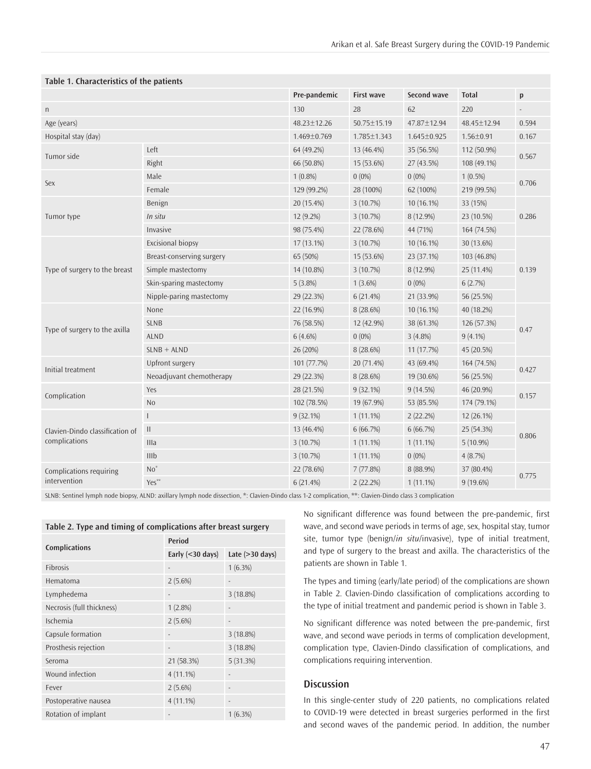| Table 1. Characteristics of the patients |              |                   |                   |                 |              |  |  |  |  |
|------------------------------------------|--------------|-------------------|-------------------|-----------------|--------------|--|--|--|--|
|                                          | Pre-pandemic | <b>First wave</b> | Second wave       | <b>Total</b>    | $\mathsf{p}$ |  |  |  |  |
|                                          | 130          | 28                | 62                | 220             |              |  |  |  |  |
|                                          | 48.23±12.26  | 50.75±15.19       | 47.87±12.94       | 48.45±12.94     | 0.594        |  |  |  |  |
|                                          | 1.469±0.769  | 1.785±1.343       | $1.645 \pm 0.925$ | $1.56 \pm 0.91$ | 0.167        |  |  |  |  |
| Left                                     | 64 (49.2%)   | 13 (46.4%)        | 35 (56.5%)        | 112 (50.9%)     | 0.567        |  |  |  |  |
| Right                                    | 66 (50.8%)   | 15 (53.6%)        | 27 (43.5%)        | 108 (49.1%)     |              |  |  |  |  |
| Male                                     | $1(0.8\%)$   | $0(0\%)$          | $0(0\%)$          | $1(0.5\%)$      | 0.706        |  |  |  |  |
| Female                                   | 129 (99.2%)  | 28 (100%)         | 62 (100%)         | 219 (99.5%)     |              |  |  |  |  |
| Benign                                   | 20 (15.4%)   | 3(10.7%)          | $10(16.1\%)$      | 33 (15%)        | 0.286        |  |  |  |  |
| In situ                                  | 12 (9.2%)    | 3(10.7%)          | 8 (12.9%)         | 23 (10.5%)      |              |  |  |  |  |
| Invasive                                 | 98 (75.4%)   | 22 (78.6%)        | 44 (71%)          | 164 (74.5%)     |              |  |  |  |  |
| Excisional biopsy                        | 17 (13.1%)   | 3(10.7%)          | 10 (16.1%)        | 30 (13.6%)      | 0.139        |  |  |  |  |
| Breast-conserving surgery                | 65 (50%)     | 15 (53.6%)        | 23 (37.1%)        | 103 (46.8%)     |              |  |  |  |  |
| Simple mastectomy                        | 14 (10.8%)   | 3(10.7%)          | 8 (12.9%)         | 25 (11.4%)      |              |  |  |  |  |
| Skin-sparing mastectomy                  | $5(3.8\%)$   | $1(3.6\%)$        | $0(0\%)$          | 6(2.7%)         |              |  |  |  |  |
| Nipple-paring mastectomy                 | 29 (22.3%)   | 6(21.4%)          | 21 (33.9%)        | 56 (25.5%)      |              |  |  |  |  |
| None                                     | 22 (16.9%)   | 8 (28.6%)         | 10 (16.1%)        | 40 (18.2%)      | 0.47         |  |  |  |  |
| <b>SLNB</b>                              | 76 (58.5%)   | 12 (42.9%)        | 38 (61.3%)        | 126 (57.3%)     |              |  |  |  |  |
| <b>ALND</b>                              | $6(4.6\%)$   | $0(0\%)$          | $3(4.8\%)$        | $9(4.1\%)$      |              |  |  |  |  |
| $SLNB + ALND$                            | 26 (20%)     | 8 (28.6%)         | 11(17.7%)         | 45 (20.5%)      |              |  |  |  |  |
| Upfront surgery                          | 101 (77.7%)  | 20 (71.4%)        | 43 (69.4%)        | 164 (74.5%)     | 0.427        |  |  |  |  |
| Neoadjuvant chemotherapy                 | 29 (22.3%)   | 8 (28.6%)         | 19 (30.6%)        | 56 (25.5%)      |              |  |  |  |  |
| Yes                                      | 28 (21.5%)   | $9(32.1\%)$       | 9(14.5%)          | 46 (20.9%)      | 0.157        |  |  |  |  |
| N <sub>o</sub>                           | 102 (78.5%)  | 19 (67.9%)        | 53 (85.5%)        | 174 (79.1%)     |              |  |  |  |  |
| ш                                        | $9(32.1\%)$  | $1(11.1\%)$       | 2(22.2%)          | 12 (26.1%)      | 0.806        |  |  |  |  |
| $\mathbf{H}$                             | 13 (46.4%)   | 6(66.7%)          | 6(66.7%)          | 25 (54.3%)      |              |  |  |  |  |
| Illa                                     | 3(10.7%)     | $1(11.1\%)$       | $1(11.1\%)$       | $5(10.9\%)$     |              |  |  |  |  |
| IIIb                                     | 3(10.7%)     | $1(11.1\%)$       | $0(0\%)$          | 4(8.7%)         |              |  |  |  |  |
| $No^*$                                   | 22 (78.6%)   | 7(77.8%)          | 8 (88.9%)         | 37 (80.4%)      | 0.775        |  |  |  |  |
| Yes**                                    | 6(21.4%)     | 2(22.2%)          | $1(11.1\%)$       | $9(19.6\%)$     |              |  |  |  |  |
|                                          |              |                   |                   |                 |              |  |  |  |  |

## **Table 1. Characteristics of the patients**

SLNB: Sentinel lymph node biopsy, ALND: axillary lymph node dissection, \*: Clavien-Dindo class 1-2 complication, \*\*: Clavien-Dindo class 3 complication

| Table 2. Type and timing of complications after breast surgery |                     |                           |  |  |  |  |
|----------------------------------------------------------------|---------------------|---------------------------|--|--|--|--|
| <b>Complications</b>                                           | <b>Period</b>       |                           |  |  |  |  |
|                                                                | Early $(<$ 30 days) | Late $(>30 \text{ days})$ |  |  |  |  |
| <b>Fibrosis</b>                                                |                     | $1(6.3\%)$                |  |  |  |  |
| Hematoma                                                       | $2(5.6\%)$          |                           |  |  |  |  |
| Lymphedema                                                     |                     | 3(18.8%)                  |  |  |  |  |
| Necrosis (full thickness)                                      | 1(2.8%)             |                           |  |  |  |  |
| Ischemia                                                       | $2(5.6\%)$          |                           |  |  |  |  |
| Capsule formation                                              |                     | 3(18.8%)                  |  |  |  |  |
| Prosthesis rejection                                           |                     | 3(18.8%)                  |  |  |  |  |
| Seroma                                                         | 21 (58.3%)          | 5(31.3%)                  |  |  |  |  |
| Wound infection                                                | $4(11.1\%)$         |                           |  |  |  |  |
| Fever                                                          | $2(5.6\%)$          |                           |  |  |  |  |
| Postoperative nausea                                           | $4(11.1\%)$         |                           |  |  |  |  |
| Rotation of implant                                            |                     | $1(6.3\%)$                |  |  |  |  |

No significant difference was found between the pre-pandemic, first wave, and second wave periods in terms of age, sex, hospital stay, tumor site, tumor type (benign/*in situ*/invasive), type of initial treatment, and type of surgery to the breast and axilla. The characteristics of the patients are shown in Table 1.

The types and timing (early/late period) of the complications are shown in Table 2. Clavien-Dindo classification of complications according to the type of initial treatment and pandemic period is shown in Table 3.

No significant difference was noted between the pre-pandemic, first wave, and second wave periods in terms of complication development, complication type, Clavien-Dindo classification of complications, and complications requiring intervention.

### **Discussion**

In this single-center study of 220 patients, no complications related to COVID-19 were detected in breast surgeries performed in the first and second waves of the pandemic period. In addition, the number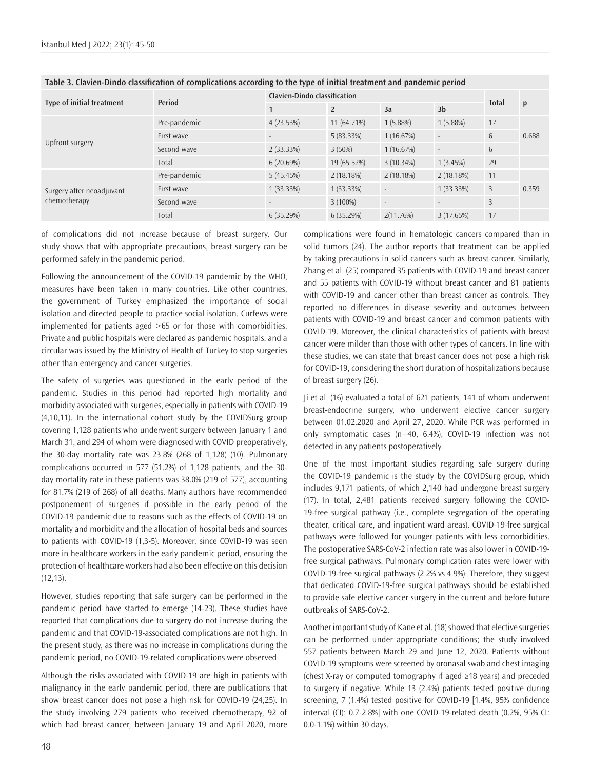| Type of initial treatment                 | Period       | Clavien-Dindo classification |                |           |                |                |       |
|-------------------------------------------|--------------|------------------------------|----------------|-----------|----------------|----------------|-------|
|                                           |              |                              | $\overline{2}$ | 3a        | 3 <sub>b</sub> | <b>Total</b>   | p     |
| Upfront surgery                           | Pre-pandemic | 4(23.53%)                    | 11 (64.71%)    | 1(5.88%)  | 1(5.88%)       | 17             | 0.688 |
|                                           | First wave   |                              | 5(83.33%)      | 1(16.67%) |                | 6              |       |
|                                           | Second wave  | 2(33.33%)                    | $3(50\%)$      | 1(16.67%) |                | 6              |       |
|                                           | Total        | 6(20.69%)                    | 19 (65.52%)    | 3(10.34%) | 1(3.45%)       | 29             |       |
| Surgery after neoadjuvant<br>chemotherapy | Pre-pandemic | 5(45.45%)                    | 2(18.18%)      | 2(18.18%) | 2(18.18%)      | 11             |       |
|                                           | First wave   | 1(33.33%)                    | 1(33.33%)      |           | 1(33.33%)      | 3              | 0.359 |
|                                           | Second wave  |                              | $3(100\%)$     |           |                | $\overline{3}$ |       |
|                                           | Total        | 6(35.29%)                    | 6(35.29%)      | 2(11.76%) | 3(17.65%)      | 17             |       |

#### **Table 3. Clavien-Dindo classification of complications according to the type of initial treatment and pandemic period**

of complications did not increase because of breast surgery. Our study shows that with appropriate precautions, breast surgery can be performed safely in the pandemic period.

Following the announcement of the COVID-19 pandemic by the WHO, measures have been taken in many countries. Like other countries, the government of Turkey emphasized the importance of social isolation and directed people to practice social isolation. Curfews were implemented for patients aged >65 or for those with comorbidities. Private and public hospitals were declared as pandemic hospitals, and a circular was issued by the Ministry of Health of Turkey to stop surgeries other than emergency and cancer surgeries.

The safety of surgeries was questioned in the early period of the pandemic. Studies in this period had reported high mortality and morbidity associated with surgeries, especially in patients with COVID-19 (4,10,11). In the international cohort study by the COVIDSurg group covering 1,128 patients who underwent surgery between January 1 and March 31, and 294 of whom were diagnosed with COVID preoperatively, the 30-day mortality rate was 23.8% (268 of 1,128) (10). Pulmonary complications occurred in 577 (51.2%) of 1,128 patients, and the 30 day mortality rate in these patients was 38.0% (219 of 577), accounting for 81.7% (219 of 268) of all deaths. Many authors have recommended postponement of surgeries if possible in the early period of the COVID-19 pandemic due to reasons such as the effects of COVID-19 on mortality and morbidity and the allocation of hospital beds and sources to patients with COVID-19 (1,3-5). Moreover, since COVID-19 was seen more in healthcare workers in the early pandemic period, ensuring the protection of healthcare workers had also been effective on this decision  $(12, 13)$ .

However, studies reporting that safe surgery can be performed in the pandemic period have started to emerge (14-23). These studies have reported that complications due to surgery do not increase during the pandemic and that COVID-19-associated complications are not high. In the present study, as there was no increase in complications during the pandemic period, no COVID-19-related complications were observed.

Although the risks associated with COVID-19 are high in patients with malignancy in the early pandemic period, there are publications that show breast cancer does not pose a high risk for COVID-19 (24,25). In the study involving 279 patients who received chemotherapy, 92 of which had breast cancer, between January 19 and April 2020, more complications were found in hematologic cancers compared than in solid tumors (24). The author reports that treatment can be applied by taking precautions in solid cancers such as breast cancer. Similarly, Zhang et al. (25) compared 35 patients with COVID-19 and breast cancer and 55 patients with COVID-19 without breast cancer and 81 patients with COVID-19 and cancer other than breast cancer as controls. They reported no differences in disease severity and outcomes between patients with COVID-19 and breast cancer and common patients with COVID-19. Moreover, the clinical characteristics of patients with breast cancer were milder than those with other types of cancers. In line with these studies, we can state that breast cancer does not pose a high risk for COVID-19, considering the short duration of hospitalizations because of breast surgery (26).

Ji et al. (16) evaluated a total of 621 patients, 141 of whom underwent breast-endocrine surgery, who underwent elective cancer surgery between 01.02.2020 and April 27, 2020. While PCR was performed in only symptomatic cases (n=40, 6.4%), COVID-19 infection was not detected in any patients postoperatively.

One of the most important studies regarding safe surgery during the COVID-19 pandemic is the study by the COVIDSurg group, which includes 9,171 patients, of which 2,140 had undergone breast surgery (17). In total, 2,481 patients received surgery following the COVID-19-free surgical pathway (i.e., complete segregation of the operating theater, critical care, and inpatient ward areas). COVID-19-free surgical pathways were followed for younger patients with less comorbidities. The postoperative SARS-CoV-2 infection rate was also lower in COVID-19 free surgical pathways. Pulmonary complication rates were lower with COVID-19-free surgical pathways (2.2% vs 4.9%). Therefore, they suggest that dedicated COVID-19-free surgical pathways should be established to provide safe elective cancer surgery in the current and before future outbreaks of SARS-CoV-2.

Another important study of Kane et al. (18) showed that elective surgeries can be performed under appropriate conditions; the study involved 557 patients between March 29 and June 12, 2020. Patients without COVID-19 symptoms were screened by oronasal swab and chest imaging (chest X-ray or computed tomography if aged ≥18 years) and preceded to surgery if negative. While 13 (2.4%) patients tested positive during screening, 7 (1.4%) tested positive for COVID-19 [1.4%, 95% confidence interval (CI): 0.7-2.8%] with one COVID-19-related death (0.2%, 95% CI: 0.0-1.1%) within 30 days.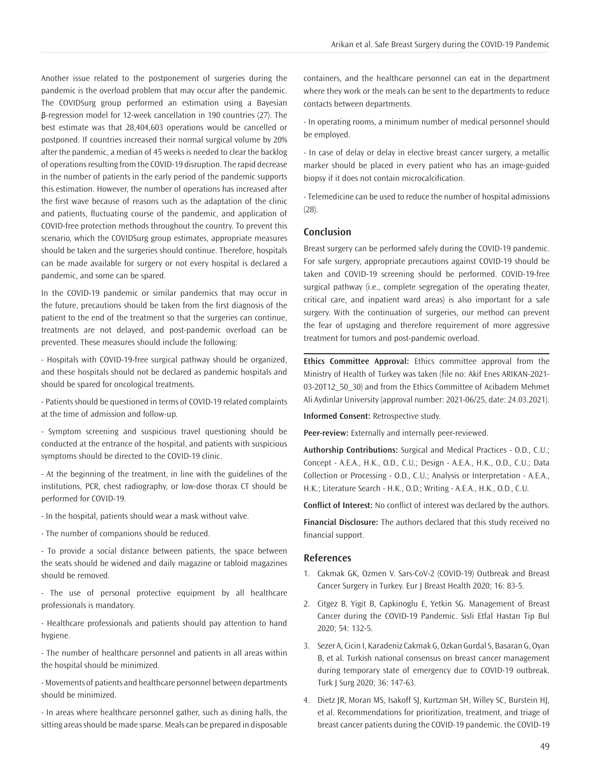Another issue related to the postponement of surgeries during the pandemic is the overload problem that may occur after the pandemic. The COVIDSurg group performed an estimation using a Bayesian β-regression model for 12-week cancellation in 190 countries (27). The best estimate was that 28,404,603 operations would be cancelled or postponed. If countries increased their normal surgical volume by 20% after the pandemic, a median of 45 weeks is needed to clear the backlog of operations resulting from the COVID-19 disruption. The rapid decrease in the number of patients in the early period of the pandemic supports this estimation. However, the number of operations has increased after the first wave because of reasons such as the adaptation of the clinic and patients, fluctuating course of the pandemic, and application of COVID-free protection methods throughout the country. To prevent this scenario, which the COVIDSurg group estimates, appropriate measures should be taken and the surgeries should continue. Therefore, hospitals can be made available for surgery or not every hospital is declared a pandemic, and some can be spared.

In the COVID-19 pandemic or similar pandemics that may occur in the future, precautions should be taken from the first diagnosis of the patient to the end of the treatment so that the surgeries can continue, treatments are not delayed, and post-pandemic overload can be prevented. These measures should include the following:

- Hospitals with COVID-19-free surgical pathway should be organized, and these hospitals should not be declared as pandemic hospitals and should be spared for oncological treatments.

- Patients should be questioned in terms of COVID-19 related complaints at the time of admission and follow-up.

- Symptom screening and suspicious travel questioning should be conducted at the entrance of the hospital, and patients with suspicious symptoms should be directed to the COVID-19 clinic.

- At the beginning of the treatment, in line with the guidelines of the institutions, PCR, chest radiography, or low-dose thorax CT should be performed for COVID-19.

- In the hospital, patients should wear a mask without valve.

- The number of companions should be reduced.

- To provide a social distance between patients, the space between the seats should be widened and daily magazine or tabloid magazines should be removed.

- The use of personal protective equipment by all healthcare professionals is mandatory.

- Healthcare professionals and patients should pay attention to hand hygiene.

- The number of healthcare personnel and patients in all areas within the hospital should be minimized.

- Movements of patients and healthcare personnel between departments should be minimized.

- In areas where healthcare personnel gather, such as dining halls, the sitting areas should be made sparse. Meals can be prepared in disposable containers, and the healthcare personnel can eat in the department where they work or the meals can be sent to the departments to reduce contacts between departments.

- In operating rooms, a minimum number of medical personnel should be employed.

- In case of delay or delay in elective breast cancer surgery, a metallic marker should be placed in every patient who has an image-guided biopsy if it does not contain microcalcification.

- Telemedicine can be used to reduce the number of hospital admissions (28).

#### **Conclusion**

Breast surgery can be performed safely during the COVID-19 pandemic. For safe surgery, appropriate precautions against COVID-19 should be taken and COVID-19 screening should be performed. COVID-19-free surgical pathway (i.e., complete segregation of the operating theater, critical care, and inpatient ward areas) is also important for a safe surgery. With the continuation of surgeries, our method can prevent the fear of upstaging and therefore requirement of more aggressive treatment for tumors and post-pandemic overload.

**Ethics Committee Approval:** Ethics committee approval from the Ministry of Health of Turkey was taken (file no: Akif Enes ARIKAN-2021- 03-20T12\_50\_30) and from the Ethics Committee of Acibadem Mehmet Ali Aydinlar University (approval number: 2021-06/25, date: 24.03.2021).

**Informed Consent:** Retrospective study.

**Peer-review:** Externally and internally peer-reviewed.

**Authorship Contributions:** Surgical and Medical Practices - O.D., C.U.; Concept - A.E.A., H.K., O.D., C.U.; Design - A.E.A., H.K., O.D., C.U.; Data Collection or Processing - O.D., C.U.; Analysis or Interpretation - A.E.A., H.K.; Literature Search - H.K., O.D.; Writing - A.E.A., H.K., O.D., C.U.

**Conflict of Interest:** No conflict of interest was declared by the authors.

**Financial Disclosure:** The authors declared that this study received no financial support.

#### **References**

- 1. Cakmak GK, Ozmen V. Sars-CoV-2 (COVID-19) Outbreak and Breast Cancer Surgery in Turkey. Eur J Breast Health 2020; 16: 83-5.
- 2. Citgez B, Yigit B, Capkinoglu E, Yetkin SG. Management of Breast Cancer during the COVID-19 Pandemic. Sisli Etfal Hastan Tip Bul 2020; 54: 132-5.
- 3. Sezer A, Cicin I, Karadeniz Cakmak G, Ozkan Gurdal S, Basaran G, Oyan B, et al. Turkish national consensus on breast cancer management during temporary state of emergency due to COVID-19 outbreak. Turk J Surg 2020; 36: 147-63.
- 4. Dietz JR, Moran MS, Isakoff SJ, Kurtzman SH, Willey SC, Burstein HJ, et al. Recommendations for prioritization, treatment, and triage of breast cancer patients during the COVID-19 pandemic. the COVID-19